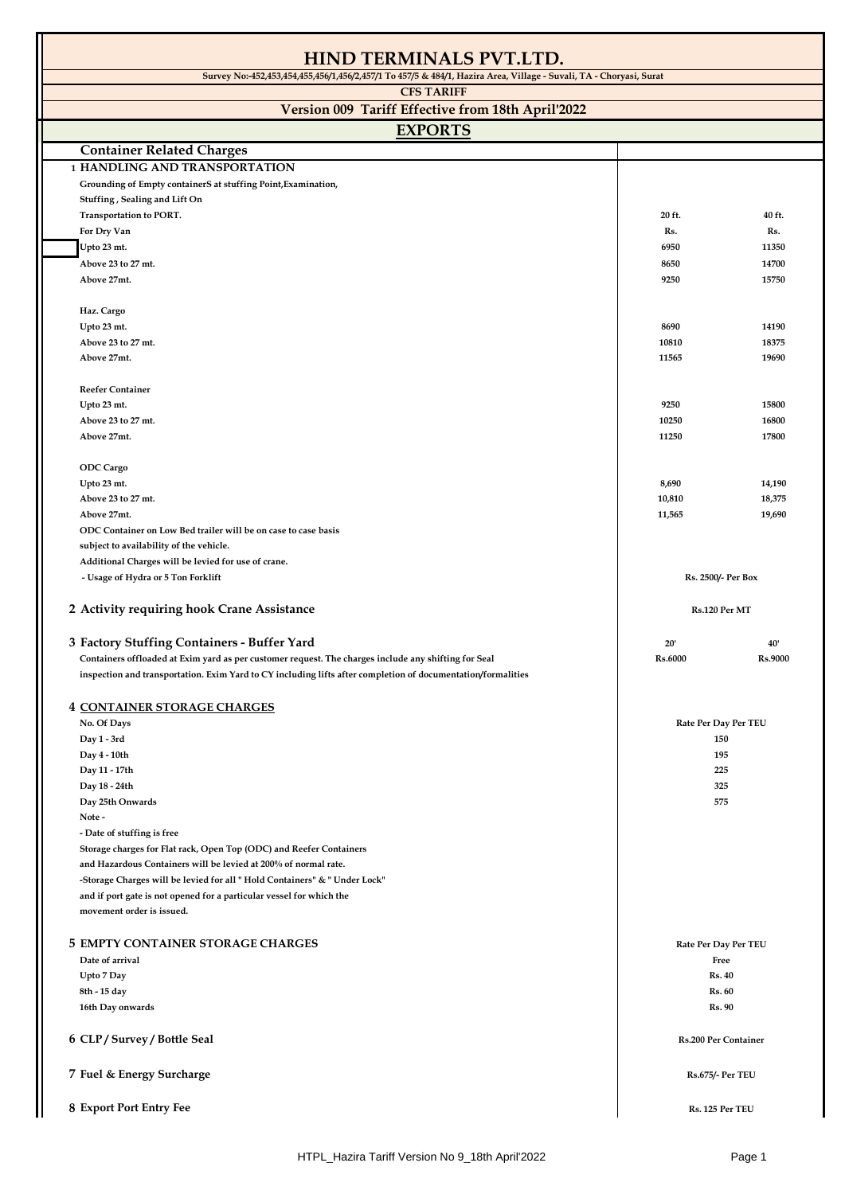| HIND TERMINALS PVT.LTD.                                                                                            |                             |         |
|--------------------------------------------------------------------------------------------------------------------|-----------------------------|---------|
| Survey No:-452,453,454,455,456/1,456/2,457/1 To 457/5 & 484/1, Hazira Area, Village - Suvali, TA - Choryasi, Surat |                             |         |
| <b>CFS TARIFF</b>                                                                                                  |                             |         |
| Version 009 Tariff Effective from 18th April'2022                                                                  |                             |         |
|                                                                                                                    |                             |         |
| <b>EXPORTS</b>                                                                                                     |                             |         |
| <b>Container Related Charges</b>                                                                                   |                             |         |
| <b>1 HANDLING AND TRANSPORTATION</b>                                                                               |                             |         |
| Grounding of Empty containerS at stuffing Point, Examination,                                                      |                             |         |
| Stuffing, Sealing and Lift On                                                                                      |                             |         |
| Transportation to PORT.                                                                                            | 20 ft.                      | 40 ft.  |
| For Dry Van                                                                                                        | Rs.                         | Rs.     |
| Upto 23 mt.                                                                                                        | 6950                        | 11350   |
| Above 23 to 27 mt.                                                                                                 | 8650                        | 14700   |
| Above 27mt.                                                                                                        | 9250                        | 15750   |
|                                                                                                                    |                             |         |
| Haz. Cargo                                                                                                         |                             |         |
| Upto 23 mt.                                                                                                        | 8690                        | 14190   |
| Above 23 to 27 mt.                                                                                                 | 10810                       | 18375   |
| Above 27mt.                                                                                                        | 11565                       | 19690   |
|                                                                                                                    |                             |         |
| <b>Reefer Container</b>                                                                                            |                             |         |
| Upto 23 mt.                                                                                                        | 9250                        | 15800   |
| Above 23 to 27 mt.                                                                                                 | 10250                       | 16800   |
| Above 27mt.                                                                                                        | 11250                       | 17800   |
|                                                                                                                    |                             |         |
| <b>ODC</b> Cargo                                                                                                   |                             |         |
| Upto 23 mt.                                                                                                        | 8,690                       | 14,190  |
| Above 23 to 27 mt.                                                                                                 | 10,810                      | 18,375  |
| Above 27mt.                                                                                                        | 11,565                      | 19,690  |
| ODC Container on Low Bed trailer will be on case to case basis                                                     |                             |         |
| subject to availability of the vehicle.                                                                            |                             |         |
| Additional Charges will be levied for use of crane.                                                                |                             |         |
| - Usage of Hydra or 5 Ton Forklift                                                                                 | Rs. 2500/- Per Box          |         |
| 2 Activity requiring hook Crane Assistance                                                                         | Rs.120 Per MT               |         |
|                                                                                                                    |                             |         |
| 3 Factory Stuffing Containers - Buffer Yard                                                                        | 20'                         | 40'     |
| Containers offloaded at Exim yard as per customer request. The charges include any shifting for Seal               | <b>Rs.6000</b>              | Rs.9000 |
| inspection and transportation. Exim Yard to CY including lifts after completion of documentation/formalities       |                             |         |
|                                                                                                                    |                             |         |
| <b>4 CONTAINER STORAGE CHARGES</b>                                                                                 |                             |         |
| No. Of Days                                                                                                        | Rate Per Day Per TEU        |         |
| Day 1 - 3rd                                                                                                        | 150                         |         |
| Day 4 - 10th                                                                                                       | 195                         |         |
| Day 11 - 17th                                                                                                      | 225                         |         |
| Day 18 - 24th                                                                                                      | 325                         |         |
| Day 25th Onwards                                                                                                   | 575                         |         |
| Note -                                                                                                             |                             |         |
| - Date of stuffing is free                                                                                         |                             |         |
| Storage charges for Flat rack, Open Top (ODC) and Reefer Containers                                                |                             |         |
| and Hazardous Containers will be levied at 200% of normal rate.                                                    |                             |         |
| -Storage Charges will be levied for all " Hold Containers" & " Under Lock"                                         |                             |         |
| and if port gate is not opened for a particular vessel for which the                                               |                             |         |
| movement order is issued.                                                                                          |                             |         |
|                                                                                                                    |                             |         |
| <b>5 EMPTY CONTAINER STORAGE CHARGES</b>                                                                           | Rate Per Day Per TEU        |         |
| Date of arrival                                                                                                    | Free                        |         |
| Upto 7 Day                                                                                                         | <b>Rs. 40</b>               |         |
| 8th - 15 day                                                                                                       | <b>Rs. 60</b>               |         |
| 16th Day onwards                                                                                                   | <b>Rs. 90</b>               |         |
|                                                                                                                    |                             |         |
| 6 CLP / Survey / Bottle Seal                                                                                       | <b>Rs.200 Per Container</b> |         |
|                                                                                                                    |                             |         |
| 7 Fuel & Energy Surcharge                                                                                          | <b>Rs.675/- Per TEU</b>     |         |
|                                                                                                                    |                             |         |
| 8 Export Port Entry Fee                                                                                            | Rs. 125 Per TEU             |         |
|                                                                                                                    |                             |         |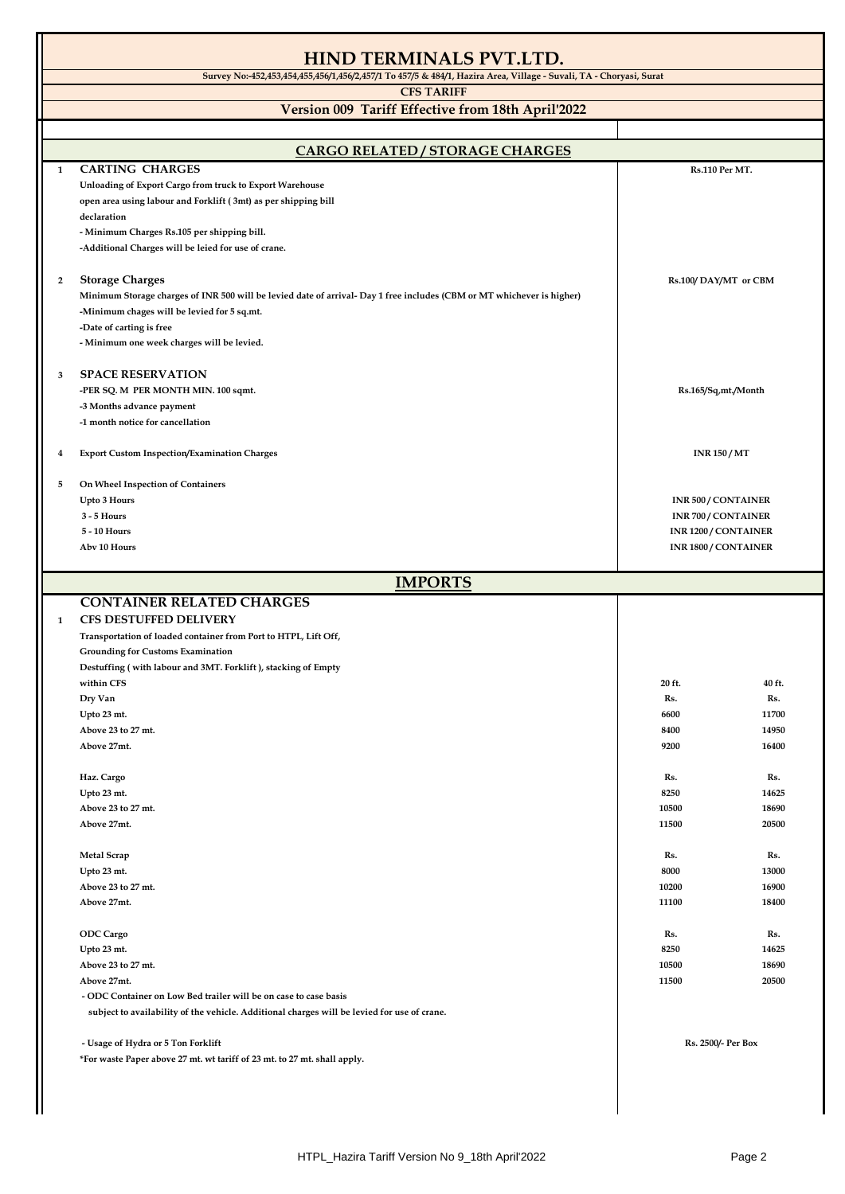## **HIND TERMINALS PVT.LTD. Survey No:-452,453,454,455,456/1,456/2,457/1 To 457/5 & 484/1, Hazira Area, Village - Suvali, TA - Choryasi, Surat CFS TARIFF Version 009 Tariff Effective from 18th April'2022 EXPORTS 1 CARTING CHARGES Unloading of Export Cargo from truck to Export Warehouse open area using labour and Forklift ( 3mt) as per shipping bill declaration - Minimum Charges Rs.105 per shipping bill. -Additional Charges will be leied for use of crane. 2 Storage Charges Minimum Storage charges of INR 500 will be levied date of arrival- Day 1 free includes (CBM or MT whichever is higher) -Minimum chages will be levied for 5 sq.mt. -Date of carting is free - Minimum one week charges will be levied. 3 SPACE RESERVATION -PER SQ. M PER MONTH MIN. 100 sqmt. -3 Months advance payment -1 month notice for cancellation 4 Export Custom Inspection/Examination Charges 5 On Wheel Inspection of Containers Upto 3 Hours 3 - 5 Hours 5 - 10 Hours Abv 10 Hours CONTAINER RELATED CHARGES 1 CFS DESTUFFED DELIVERY Transportation of loaded container from Port to HTPL, Lift Off, Grounding for Customs Examination Destuffing ( with labour and 3MT. Forklift ), stacking of Empty within CFS 20 ft. 40 ft. Dry Van Rs. Rs. Upto 23 mt. 6600 11700 Above 23 to 27 mt. 8400 14950 Above 27mt. 9200 16400 Haz. Cargo Rs. Rs. Upto 23 mt. 8250 14625 Above 23 to 27 mt. 10500 18690 Above 27mt. 11500 20500 Metal Scrap Rs. Rs. Upto 23 mt. 8000 13000 Above 23 to 27 mt. 10200 16900 Above 27mt. 11100 18400 ODC Cargo Rs. Rs. Upto 23 mt. 8250 14625 Above 23 to 27 mt. 10500 18690 Above 27mt. 11500 20500 - ODC Container on Low Bed trailer will be on case to case basis subject to availability of the vehicle. Additional charges will be levied for use of crane. - Usage of Hydra or 5 Ton Forklift \*For waste Paper above 27 mt. wt tariff of 23 mt. to 27 mt. shall apply. INR 150 / MT INR 500 / CONTAINER INR 700 / CONTAINER INR 1200 / CONTAINER INR 1800 / CONTAINER CARGO RELATED / STORAGE CHARGES Rs.100/ DAY/MT or CBM IMPORTS Rs.110 Per MT. Rs.165/Sq,mt./Month Rs. 2500/- Per Box**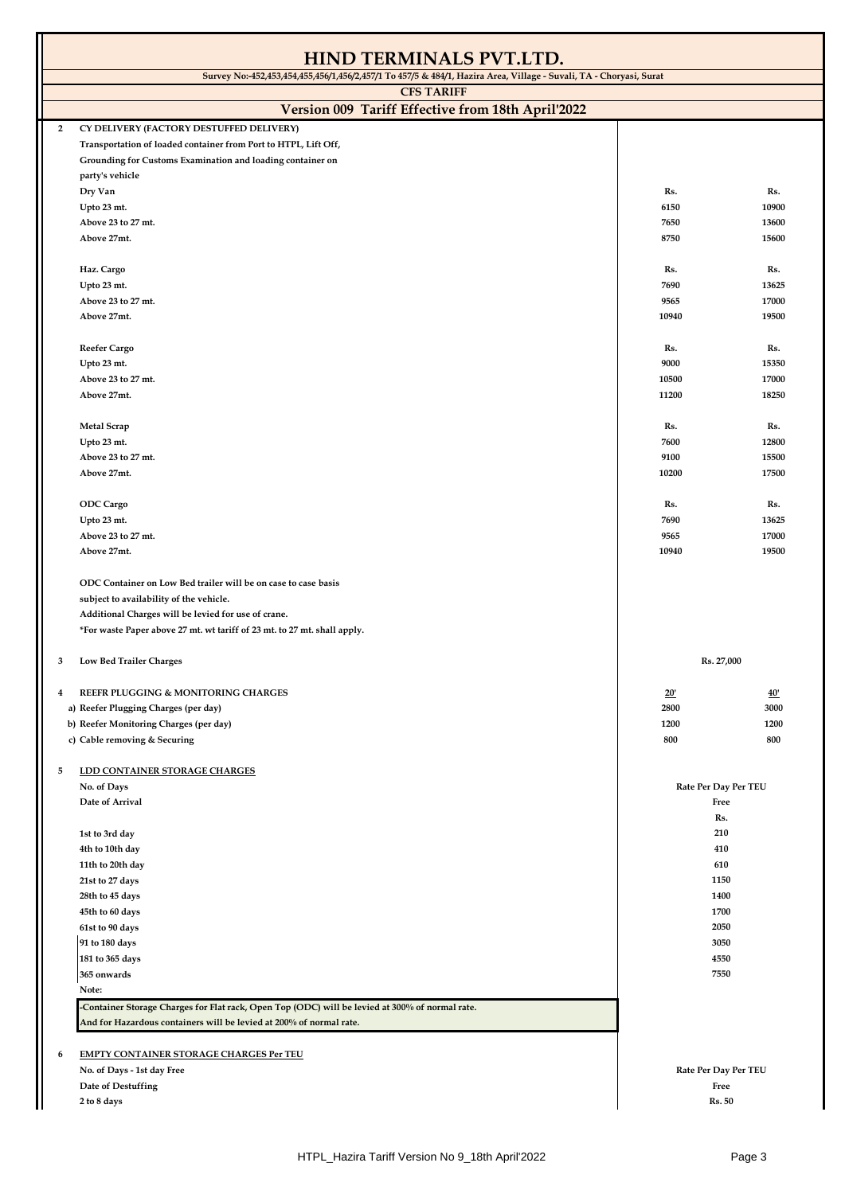| <b>CFS TARIFF</b><br>Version 009 Tariff Effective from 18th April'2022<br>CY DELIVERY (FACTORY DESTUFFED DELIVERY)<br>$\overline{2}$<br>Transportation of loaded container from Port to HTPL, Lift Off,<br>Grounding for Customs Examination and loading container on<br>party's vehicle<br>Dry Van<br>Rs.<br>Rs.<br>Upto 23 mt.<br>6150<br>10900<br>Above 23 to 27 mt.<br>7650<br>13600<br>Above 27mt.<br>8750<br>15600<br>Haz. Cargo<br>Rs.<br>Rs.<br>Upto 23 mt.<br>7690<br>13625<br>Above 23 to 27 mt.<br>9565<br>17000<br>19500<br>Above 27mt.<br>10940<br>Reefer Cargo<br>Rs.<br>Rs.<br>Upto 23 mt.<br>9000<br>15350<br>Above 23 to 27 mt.<br>10500<br>17000<br>18250<br>Above 27mt.<br>11200<br><b>Metal Scrap</b><br>Rs.<br>Rs.<br>7600<br>12800<br>Upto 23 mt.<br>Above 23 to 27 mt.<br>9100<br>15500<br>Above 27mt.<br>10200<br>17500<br><b>ODC</b> Cargo<br>Rs.<br>Rs.<br>7690<br>Upto 23 mt.<br>13625<br>17000<br>Above 23 to 27 mt.<br>9565<br>Above 27mt.<br>10940<br>19500<br>ODC Container on Low Bed trailer will be on case to case basis<br>subject to availability of the vehicle.<br>Additional Charges will be levied for use of crane.<br>*For waste Paper above 27 mt. wt tariff of 23 mt. to 27 mt. shall apply.<br>Rs. 27,000<br>Low Bed Trailer Charges<br>3<br>REEFR PLUGGING & MONITORING CHARGES<br>20'<br>40'<br>4<br>a) Reefer Plugging Charges (per day)<br>2800<br>3000<br>b) Reefer Monitoring Charges (per day)<br>1200<br>1200<br>800<br>c) Cable removing & Securing<br>800<br>LDD CONTAINER STORAGE CHARGES<br>5<br>No. of Days<br>Rate Per Day Per TEU<br>Date of Arrival<br>Free<br>Rs.<br>210<br>1st to 3rd day<br>4th to 10th day<br>410<br>610<br>11th to 20th day<br>1150<br>21st to 27 days<br>1400<br>28th to 45 days<br>45th to 60 days<br>1700<br>2050<br>61st to 90 days<br>91 to 180 days<br>3050<br>181 to 365 days<br>4550<br>365 onwards<br>7550<br>Note:<br>-Container Storage Charges for Flat rack, Open Top (ODC) will be levied at 300% of normal rate.<br>And for Hazardous containers will be levied at 200% of normal rate. | <b>HIND TERMINALS PVT.LTD.</b>                                                                                     |  |  |  |
|-------------------------------------------------------------------------------------------------------------------------------------------------------------------------------------------------------------------------------------------------------------------------------------------------------------------------------------------------------------------------------------------------------------------------------------------------------------------------------------------------------------------------------------------------------------------------------------------------------------------------------------------------------------------------------------------------------------------------------------------------------------------------------------------------------------------------------------------------------------------------------------------------------------------------------------------------------------------------------------------------------------------------------------------------------------------------------------------------------------------------------------------------------------------------------------------------------------------------------------------------------------------------------------------------------------------------------------------------------------------------------------------------------------------------------------------------------------------------------------------------------------------------------------------------------------------------------------------------------------------------------------------------------------------------------------------------------------------------------------------------------------------------------------------------------------------------------------------------------------------------------------------------------------------------------------------------------------------------------------------------------------------------------------------------------------------------------------------|--------------------------------------------------------------------------------------------------------------------|--|--|--|
|                                                                                                                                                                                                                                                                                                                                                                                                                                                                                                                                                                                                                                                                                                                                                                                                                                                                                                                                                                                                                                                                                                                                                                                                                                                                                                                                                                                                                                                                                                                                                                                                                                                                                                                                                                                                                                                                                                                                                                                                                                                                                           | Survey No: 452,453,454,455,456/1,456/2,457/1 To 457/5 & 484/1, Hazira Area, Village - Suvali, TA - Choryasi, Surat |  |  |  |
|                                                                                                                                                                                                                                                                                                                                                                                                                                                                                                                                                                                                                                                                                                                                                                                                                                                                                                                                                                                                                                                                                                                                                                                                                                                                                                                                                                                                                                                                                                                                                                                                                                                                                                                                                                                                                                                                                                                                                                                                                                                                                           |                                                                                                                    |  |  |  |
|                                                                                                                                                                                                                                                                                                                                                                                                                                                                                                                                                                                                                                                                                                                                                                                                                                                                                                                                                                                                                                                                                                                                                                                                                                                                                                                                                                                                                                                                                                                                                                                                                                                                                                                                                                                                                                                                                                                                                                                                                                                                                           |                                                                                                                    |  |  |  |
|                                                                                                                                                                                                                                                                                                                                                                                                                                                                                                                                                                                                                                                                                                                                                                                                                                                                                                                                                                                                                                                                                                                                                                                                                                                                                                                                                                                                                                                                                                                                                                                                                                                                                                                                                                                                                                                                                                                                                                                                                                                                                           |                                                                                                                    |  |  |  |
|                                                                                                                                                                                                                                                                                                                                                                                                                                                                                                                                                                                                                                                                                                                                                                                                                                                                                                                                                                                                                                                                                                                                                                                                                                                                                                                                                                                                                                                                                                                                                                                                                                                                                                                                                                                                                                                                                                                                                                                                                                                                                           |                                                                                                                    |  |  |  |
|                                                                                                                                                                                                                                                                                                                                                                                                                                                                                                                                                                                                                                                                                                                                                                                                                                                                                                                                                                                                                                                                                                                                                                                                                                                                                                                                                                                                                                                                                                                                                                                                                                                                                                                                                                                                                                                                                                                                                                                                                                                                                           |                                                                                                                    |  |  |  |
|                                                                                                                                                                                                                                                                                                                                                                                                                                                                                                                                                                                                                                                                                                                                                                                                                                                                                                                                                                                                                                                                                                                                                                                                                                                                                                                                                                                                                                                                                                                                                                                                                                                                                                                                                                                                                                                                                                                                                                                                                                                                                           |                                                                                                                    |  |  |  |
|                                                                                                                                                                                                                                                                                                                                                                                                                                                                                                                                                                                                                                                                                                                                                                                                                                                                                                                                                                                                                                                                                                                                                                                                                                                                                                                                                                                                                                                                                                                                                                                                                                                                                                                                                                                                                                                                                                                                                                                                                                                                                           |                                                                                                                    |  |  |  |
|                                                                                                                                                                                                                                                                                                                                                                                                                                                                                                                                                                                                                                                                                                                                                                                                                                                                                                                                                                                                                                                                                                                                                                                                                                                                                                                                                                                                                                                                                                                                                                                                                                                                                                                                                                                                                                                                                                                                                                                                                                                                                           |                                                                                                                    |  |  |  |
|                                                                                                                                                                                                                                                                                                                                                                                                                                                                                                                                                                                                                                                                                                                                                                                                                                                                                                                                                                                                                                                                                                                                                                                                                                                                                                                                                                                                                                                                                                                                                                                                                                                                                                                                                                                                                                                                                                                                                                                                                                                                                           |                                                                                                                    |  |  |  |
|                                                                                                                                                                                                                                                                                                                                                                                                                                                                                                                                                                                                                                                                                                                                                                                                                                                                                                                                                                                                                                                                                                                                                                                                                                                                                                                                                                                                                                                                                                                                                                                                                                                                                                                                                                                                                                                                                                                                                                                                                                                                                           |                                                                                                                    |  |  |  |
|                                                                                                                                                                                                                                                                                                                                                                                                                                                                                                                                                                                                                                                                                                                                                                                                                                                                                                                                                                                                                                                                                                                                                                                                                                                                                                                                                                                                                                                                                                                                                                                                                                                                                                                                                                                                                                                                                                                                                                                                                                                                                           |                                                                                                                    |  |  |  |
|                                                                                                                                                                                                                                                                                                                                                                                                                                                                                                                                                                                                                                                                                                                                                                                                                                                                                                                                                                                                                                                                                                                                                                                                                                                                                                                                                                                                                                                                                                                                                                                                                                                                                                                                                                                                                                                                                                                                                                                                                                                                                           |                                                                                                                    |  |  |  |
|                                                                                                                                                                                                                                                                                                                                                                                                                                                                                                                                                                                                                                                                                                                                                                                                                                                                                                                                                                                                                                                                                                                                                                                                                                                                                                                                                                                                                                                                                                                                                                                                                                                                                                                                                                                                                                                                                                                                                                                                                                                                                           |                                                                                                                    |  |  |  |
|                                                                                                                                                                                                                                                                                                                                                                                                                                                                                                                                                                                                                                                                                                                                                                                                                                                                                                                                                                                                                                                                                                                                                                                                                                                                                                                                                                                                                                                                                                                                                                                                                                                                                                                                                                                                                                                                                                                                                                                                                                                                                           |                                                                                                                    |  |  |  |
|                                                                                                                                                                                                                                                                                                                                                                                                                                                                                                                                                                                                                                                                                                                                                                                                                                                                                                                                                                                                                                                                                                                                                                                                                                                                                                                                                                                                                                                                                                                                                                                                                                                                                                                                                                                                                                                                                                                                                                                                                                                                                           |                                                                                                                    |  |  |  |
|                                                                                                                                                                                                                                                                                                                                                                                                                                                                                                                                                                                                                                                                                                                                                                                                                                                                                                                                                                                                                                                                                                                                                                                                                                                                                                                                                                                                                                                                                                                                                                                                                                                                                                                                                                                                                                                                                                                                                                                                                                                                                           |                                                                                                                    |  |  |  |
|                                                                                                                                                                                                                                                                                                                                                                                                                                                                                                                                                                                                                                                                                                                                                                                                                                                                                                                                                                                                                                                                                                                                                                                                                                                                                                                                                                                                                                                                                                                                                                                                                                                                                                                                                                                                                                                                                                                                                                                                                                                                                           |                                                                                                                    |  |  |  |
|                                                                                                                                                                                                                                                                                                                                                                                                                                                                                                                                                                                                                                                                                                                                                                                                                                                                                                                                                                                                                                                                                                                                                                                                                                                                                                                                                                                                                                                                                                                                                                                                                                                                                                                                                                                                                                                                                                                                                                                                                                                                                           |                                                                                                                    |  |  |  |
|                                                                                                                                                                                                                                                                                                                                                                                                                                                                                                                                                                                                                                                                                                                                                                                                                                                                                                                                                                                                                                                                                                                                                                                                                                                                                                                                                                                                                                                                                                                                                                                                                                                                                                                                                                                                                                                                                                                                                                                                                                                                                           |                                                                                                                    |  |  |  |
|                                                                                                                                                                                                                                                                                                                                                                                                                                                                                                                                                                                                                                                                                                                                                                                                                                                                                                                                                                                                                                                                                                                                                                                                                                                                                                                                                                                                                                                                                                                                                                                                                                                                                                                                                                                                                                                                                                                                                                                                                                                                                           |                                                                                                                    |  |  |  |
|                                                                                                                                                                                                                                                                                                                                                                                                                                                                                                                                                                                                                                                                                                                                                                                                                                                                                                                                                                                                                                                                                                                                                                                                                                                                                                                                                                                                                                                                                                                                                                                                                                                                                                                                                                                                                                                                                                                                                                                                                                                                                           |                                                                                                                    |  |  |  |
|                                                                                                                                                                                                                                                                                                                                                                                                                                                                                                                                                                                                                                                                                                                                                                                                                                                                                                                                                                                                                                                                                                                                                                                                                                                                                                                                                                                                                                                                                                                                                                                                                                                                                                                                                                                                                                                                                                                                                                                                                                                                                           |                                                                                                                    |  |  |  |
|                                                                                                                                                                                                                                                                                                                                                                                                                                                                                                                                                                                                                                                                                                                                                                                                                                                                                                                                                                                                                                                                                                                                                                                                                                                                                                                                                                                                                                                                                                                                                                                                                                                                                                                                                                                                                                                                                                                                                                                                                                                                                           |                                                                                                                    |  |  |  |
|                                                                                                                                                                                                                                                                                                                                                                                                                                                                                                                                                                                                                                                                                                                                                                                                                                                                                                                                                                                                                                                                                                                                                                                                                                                                                                                                                                                                                                                                                                                                                                                                                                                                                                                                                                                                                                                                                                                                                                                                                                                                                           |                                                                                                                    |  |  |  |
|                                                                                                                                                                                                                                                                                                                                                                                                                                                                                                                                                                                                                                                                                                                                                                                                                                                                                                                                                                                                                                                                                                                                                                                                                                                                                                                                                                                                                                                                                                                                                                                                                                                                                                                                                                                                                                                                                                                                                                                                                                                                                           |                                                                                                                    |  |  |  |
|                                                                                                                                                                                                                                                                                                                                                                                                                                                                                                                                                                                                                                                                                                                                                                                                                                                                                                                                                                                                                                                                                                                                                                                                                                                                                                                                                                                                                                                                                                                                                                                                                                                                                                                                                                                                                                                                                                                                                                                                                                                                                           |                                                                                                                    |  |  |  |
|                                                                                                                                                                                                                                                                                                                                                                                                                                                                                                                                                                                                                                                                                                                                                                                                                                                                                                                                                                                                                                                                                                                                                                                                                                                                                                                                                                                                                                                                                                                                                                                                                                                                                                                                                                                                                                                                                                                                                                                                                                                                                           |                                                                                                                    |  |  |  |
|                                                                                                                                                                                                                                                                                                                                                                                                                                                                                                                                                                                                                                                                                                                                                                                                                                                                                                                                                                                                                                                                                                                                                                                                                                                                                                                                                                                                                                                                                                                                                                                                                                                                                                                                                                                                                                                                                                                                                                                                                                                                                           |                                                                                                                    |  |  |  |
|                                                                                                                                                                                                                                                                                                                                                                                                                                                                                                                                                                                                                                                                                                                                                                                                                                                                                                                                                                                                                                                                                                                                                                                                                                                                                                                                                                                                                                                                                                                                                                                                                                                                                                                                                                                                                                                                                                                                                                                                                                                                                           |                                                                                                                    |  |  |  |
|                                                                                                                                                                                                                                                                                                                                                                                                                                                                                                                                                                                                                                                                                                                                                                                                                                                                                                                                                                                                                                                                                                                                                                                                                                                                                                                                                                                                                                                                                                                                                                                                                                                                                                                                                                                                                                                                                                                                                                                                                                                                                           |                                                                                                                    |  |  |  |
|                                                                                                                                                                                                                                                                                                                                                                                                                                                                                                                                                                                                                                                                                                                                                                                                                                                                                                                                                                                                                                                                                                                                                                                                                                                                                                                                                                                                                                                                                                                                                                                                                                                                                                                                                                                                                                                                                                                                                                                                                                                                                           |                                                                                                                    |  |  |  |
|                                                                                                                                                                                                                                                                                                                                                                                                                                                                                                                                                                                                                                                                                                                                                                                                                                                                                                                                                                                                                                                                                                                                                                                                                                                                                                                                                                                                                                                                                                                                                                                                                                                                                                                                                                                                                                                                                                                                                                                                                                                                                           |                                                                                                                    |  |  |  |
|                                                                                                                                                                                                                                                                                                                                                                                                                                                                                                                                                                                                                                                                                                                                                                                                                                                                                                                                                                                                                                                                                                                                                                                                                                                                                                                                                                                                                                                                                                                                                                                                                                                                                                                                                                                                                                                                                                                                                                                                                                                                                           |                                                                                                                    |  |  |  |
|                                                                                                                                                                                                                                                                                                                                                                                                                                                                                                                                                                                                                                                                                                                                                                                                                                                                                                                                                                                                                                                                                                                                                                                                                                                                                                                                                                                                                                                                                                                                                                                                                                                                                                                                                                                                                                                                                                                                                                                                                                                                                           |                                                                                                                    |  |  |  |
|                                                                                                                                                                                                                                                                                                                                                                                                                                                                                                                                                                                                                                                                                                                                                                                                                                                                                                                                                                                                                                                                                                                                                                                                                                                                                                                                                                                                                                                                                                                                                                                                                                                                                                                                                                                                                                                                                                                                                                                                                                                                                           |                                                                                                                    |  |  |  |
|                                                                                                                                                                                                                                                                                                                                                                                                                                                                                                                                                                                                                                                                                                                                                                                                                                                                                                                                                                                                                                                                                                                                                                                                                                                                                                                                                                                                                                                                                                                                                                                                                                                                                                                                                                                                                                                                                                                                                                                                                                                                                           |                                                                                                                    |  |  |  |
|                                                                                                                                                                                                                                                                                                                                                                                                                                                                                                                                                                                                                                                                                                                                                                                                                                                                                                                                                                                                                                                                                                                                                                                                                                                                                                                                                                                                                                                                                                                                                                                                                                                                                                                                                                                                                                                                                                                                                                                                                                                                                           |                                                                                                                    |  |  |  |
|                                                                                                                                                                                                                                                                                                                                                                                                                                                                                                                                                                                                                                                                                                                                                                                                                                                                                                                                                                                                                                                                                                                                                                                                                                                                                                                                                                                                                                                                                                                                                                                                                                                                                                                                                                                                                                                                                                                                                                                                                                                                                           |                                                                                                                    |  |  |  |
|                                                                                                                                                                                                                                                                                                                                                                                                                                                                                                                                                                                                                                                                                                                                                                                                                                                                                                                                                                                                                                                                                                                                                                                                                                                                                                                                                                                                                                                                                                                                                                                                                                                                                                                                                                                                                                                                                                                                                                                                                                                                                           |                                                                                                                    |  |  |  |
|                                                                                                                                                                                                                                                                                                                                                                                                                                                                                                                                                                                                                                                                                                                                                                                                                                                                                                                                                                                                                                                                                                                                                                                                                                                                                                                                                                                                                                                                                                                                                                                                                                                                                                                                                                                                                                                                                                                                                                                                                                                                                           |                                                                                                                    |  |  |  |
|                                                                                                                                                                                                                                                                                                                                                                                                                                                                                                                                                                                                                                                                                                                                                                                                                                                                                                                                                                                                                                                                                                                                                                                                                                                                                                                                                                                                                                                                                                                                                                                                                                                                                                                                                                                                                                                                                                                                                                                                                                                                                           |                                                                                                                    |  |  |  |
|                                                                                                                                                                                                                                                                                                                                                                                                                                                                                                                                                                                                                                                                                                                                                                                                                                                                                                                                                                                                                                                                                                                                                                                                                                                                                                                                                                                                                                                                                                                                                                                                                                                                                                                                                                                                                                                                                                                                                                                                                                                                                           |                                                                                                                    |  |  |  |
|                                                                                                                                                                                                                                                                                                                                                                                                                                                                                                                                                                                                                                                                                                                                                                                                                                                                                                                                                                                                                                                                                                                                                                                                                                                                                                                                                                                                                                                                                                                                                                                                                                                                                                                                                                                                                                                                                                                                                                                                                                                                                           |                                                                                                                    |  |  |  |
|                                                                                                                                                                                                                                                                                                                                                                                                                                                                                                                                                                                                                                                                                                                                                                                                                                                                                                                                                                                                                                                                                                                                                                                                                                                                                                                                                                                                                                                                                                                                                                                                                                                                                                                                                                                                                                                                                                                                                                                                                                                                                           |                                                                                                                    |  |  |  |
|                                                                                                                                                                                                                                                                                                                                                                                                                                                                                                                                                                                                                                                                                                                                                                                                                                                                                                                                                                                                                                                                                                                                                                                                                                                                                                                                                                                                                                                                                                                                                                                                                                                                                                                                                                                                                                                                                                                                                                                                                                                                                           |                                                                                                                    |  |  |  |
|                                                                                                                                                                                                                                                                                                                                                                                                                                                                                                                                                                                                                                                                                                                                                                                                                                                                                                                                                                                                                                                                                                                                                                                                                                                                                                                                                                                                                                                                                                                                                                                                                                                                                                                                                                                                                                                                                                                                                                                                                                                                                           |                                                                                                                    |  |  |  |
|                                                                                                                                                                                                                                                                                                                                                                                                                                                                                                                                                                                                                                                                                                                                                                                                                                                                                                                                                                                                                                                                                                                                                                                                                                                                                                                                                                                                                                                                                                                                                                                                                                                                                                                                                                                                                                                                                                                                                                                                                                                                                           |                                                                                                                    |  |  |  |
|                                                                                                                                                                                                                                                                                                                                                                                                                                                                                                                                                                                                                                                                                                                                                                                                                                                                                                                                                                                                                                                                                                                                                                                                                                                                                                                                                                                                                                                                                                                                                                                                                                                                                                                                                                                                                                                                                                                                                                                                                                                                                           |                                                                                                                    |  |  |  |
|                                                                                                                                                                                                                                                                                                                                                                                                                                                                                                                                                                                                                                                                                                                                                                                                                                                                                                                                                                                                                                                                                                                                                                                                                                                                                                                                                                                                                                                                                                                                                                                                                                                                                                                                                                                                                                                                                                                                                                                                                                                                                           |                                                                                                                    |  |  |  |
|                                                                                                                                                                                                                                                                                                                                                                                                                                                                                                                                                                                                                                                                                                                                                                                                                                                                                                                                                                                                                                                                                                                                                                                                                                                                                                                                                                                                                                                                                                                                                                                                                                                                                                                                                                                                                                                                                                                                                                                                                                                                                           |                                                                                                                    |  |  |  |
|                                                                                                                                                                                                                                                                                                                                                                                                                                                                                                                                                                                                                                                                                                                                                                                                                                                                                                                                                                                                                                                                                                                                                                                                                                                                                                                                                                                                                                                                                                                                                                                                                                                                                                                                                                                                                                                                                                                                                                                                                                                                                           |                                                                                                                    |  |  |  |
|                                                                                                                                                                                                                                                                                                                                                                                                                                                                                                                                                                                                                                                                                                                                                                                                                                                                                                                                                                                                                                                                                                                                                                                                                                                                                                                                                                                                                                                                                                                                                                                                                                                                                                                                                                                                                                                                                                                                                                                                                                                                                           |                                                                                                                    |  |  |  |
|                                                                                                                                                                                                                                                                                                                                                                                                                                                                                                                                                                                                                                                                                                                                                                                                                                                                                                                                                                                                                                                                                                                                                                                                                                                                                                                                                                                                                                                                                                                                                                                                                                                                                                                                                                                                                                                                                                                                                                                                                                                                                           |                                                                                                                    |  |  |  |
|                                                                                                                                                                                                                                                                                                                                                                                                                                                                                                                                                                                                                                                                                                                                                                                                                                                                                                                                                                                                                                                                                                                                                                                                                                                                                                                                                                                                                                                                                                                                                                                                                                                                                                                                                                                                                                                                                                                                                                                                                                                                                           |                                                                                                                    |  |  |  |
|                                                                                                                                                                                                                                                                                                                                                                                                                                                                                                                                                                                                                                                                                                                                                                                                                                                                                                                                                                                                                                                                                                                                                                                                                                                                                                                                                                                                                                                                                                                                                                                                                                                                                                                                                                                                                                                                                                                                                                                                                                                                                           |                                                                                                                    |  |  |  |
|                                                                                                                                                                                                                                                                                                                                                                                                                                                                                                                                                                                                                                                                                                                                                                                                                                                                                                                                                                                                                                                                                                                                                                                                                                                                                                                                                                                                                                                                                                                                                                                                                                                                                                                                                                                                                                                                                                                                                                                                                                                                                           |                                                                                                                    |  |  |  |
| <b>EMPTY CONTAINER STORAGE CHARGES Per TEU</b><br>6                                                                                                                                                                                                                                                                                                                                                                                                                                                                                                                                                                                                                                                                                                                                                                                                                                                                                                                                                                                                                                                                                                                                                                                                                                                                                                                                                                                                                                                                                                                                                                                                                                                                                                                                                                                                                                                                                                                                                                                                                                       |                                                                                                                    |  |  |  |
| No. of Days - 1st day Free<br>Rate Per Day Per TEU                                                                                                                                                                                                                                                                                                                                                                                                                                                                                                                                                                                                                                                                                                                                                                                                                                                                                                                                                                                                                                                                                                                                                                                                                                                                                                                                                                                                                                                                                                                                                                                                                                                                                                                                                                                                                                                                                                                                                                                                                                        |                                                                                                                    |  |  |  |
| Date of Destuffing<br>Free                                                                                                                                                                                                                                                                                                                                                                                                                                                                                                                                                                                                                                                                                                                                                                                                                                                                                                                                                                                                                                                                                                                                                                                                                                                                                                                                                                                                                                                                                                                                                                                                                                                                                                                                                                                                                                                                                                                                                                                                                                                                |                                                                                                                    |  |  |  |
| 2 to 8 days<br>Rs. 50                                                                                                                                                                                                                                                                                                                                                                                                                                                                                                                                                                                                                                                                                                                                                                                                                                                                                                                                                                                                                                                                                                                                                                                                                                                                                                                                                                                                                                                                                                                                                                                                                                                                                                                                                                                                                                                                                                                                                                                                                                                                     |                                                                                                                    |  |  |  |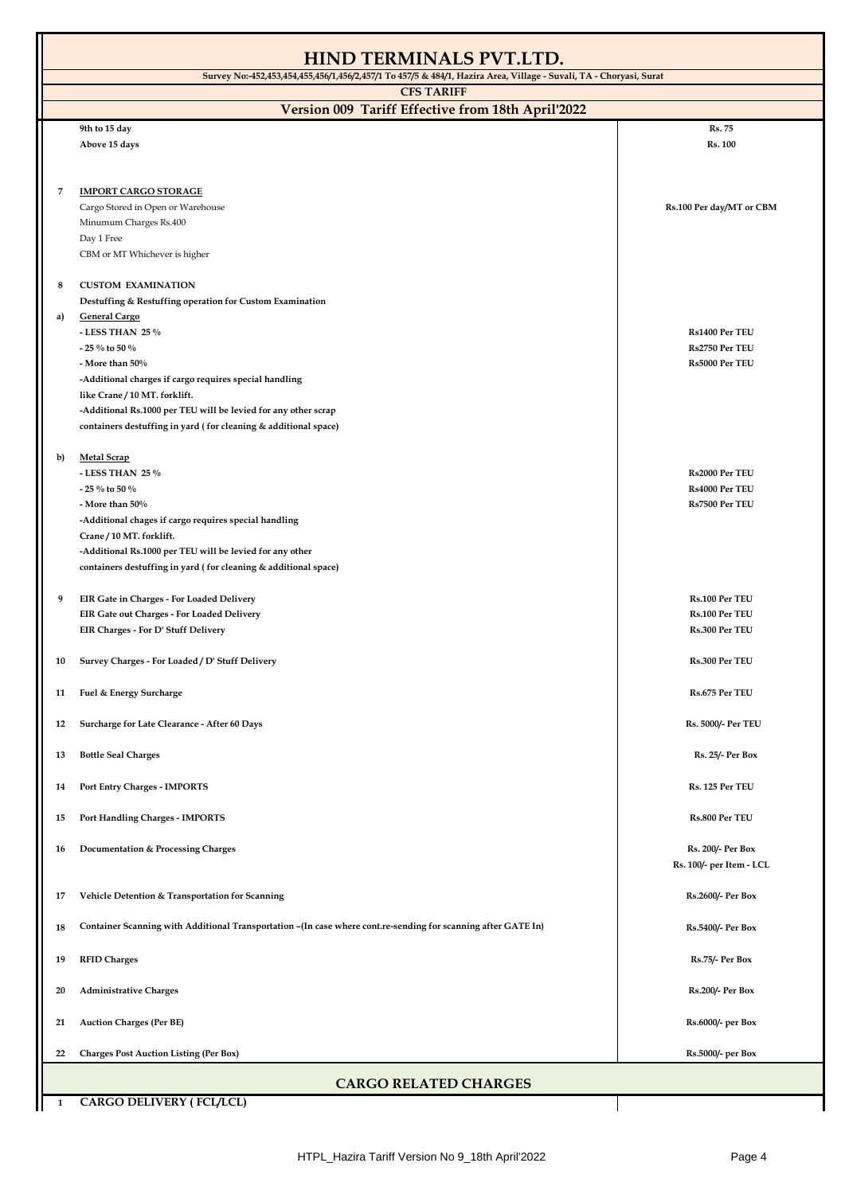| <b>HIND TERMINALS PVT.LTD.</b>                                         |                                                                                                                                                                                                                                                                                                    |                                                           |  |  |
|------------------------------------------------------------------------|----------------------------------------------------------------------------------------------------------------------------------------------------------------------------------------------------------------------------------------------------------------------------------------------------|-----------------------------------------------------------|--|--|
|                                                                        | Survey No: 452,453,454,455,456/1,456/2,457/1 To 457/5 & 484/1, Hazira Area, Village - Suvali, TA - Choryasi, Surat                                                                                                                                                                                 |                                                           |  |  |
| <b>CFS TARIFF</b><br>Version 009 Tariff Effective from 18th April'2022 |                                                                                                                                                                                                                                                                                                    |                                                           |  |  |
|                                                                        | 9th to 15 day                                                                                                                                                                                                                                                                                      | Rs. 75                                                    |  |  |
|                                                                        | Above 15 days                                                                                                                                                                                                                                                                                      | <b>Rs. 100</b>                                            |  |  |
| 7                                                                      | <b>IMPORT CARGO STORAGE</b><br>Cargo Stored in Open or Warehouse<br>Minumum Charges Rs.400<br>Day 1 Free<br>CBM or MT Whichever is higher                                                                                                                                                          | Rs.100 Per day/MT or CBM                                  |  |  |
| 8<br>a)                                                                | <b>CUSTOM EXAMINATION</b><br>Destuffing & Restuffing operation for Custom Examination<br><b>General Cargo</b><br>- LESS THAN 25 %                                                                                                                                                                  | Rs1400 Per TEU                                            |  |  |
|                                                                        | - 25 $\%$ to 50 $\%$<br>- More than $50\%$<br>-Additional charges if cargo requires special handling<br>like Crane / 10 MT. forklift.<br>-Additional Rs.1000 per TEU will be levied for any other scrap<br>containers destuffing in yard (for cleaning & additional space)                         | Rs2750 Per TEU<br>Rs5000 Per TEU                          |  |  |
| b)                                                                     | <b>Metal Scrap</b><br>- LESS THAN 25 $\%$<br>- 25 % to 50 %<br>- More than 50%<br>-Additional chages if cargo requires special handling<br>Crane / 10 MT. forklift.<br>-Additional Rs.1000 per TEU will be levied for any other<br>containers destuffing in yard (for cleaning & additional space) | <b>Rs2000 Per TEU</b><br>Rs4000 Per TEU<br>Rs7500 Per TEU |  |  |
| 9                                                                      | EIR Gate in Charges - For Loaded Delivery<br>EIR Gate out Charges - For Loaded Delivery<br>EIR Charges - For D' Stuff Delivery                                                                                                                                                                     | Rs.100 Per TEU<br>Rs.100 Per TEU<br>Rs.300 Per TEU        |  |  |
| 10                                                                     | Survey Charges - For Loaded / D' Stuff Delivery                                                                                                                                                                                                                                                    | Rs.300 Per TEU                                            |  |  |
| 11                                                                     | Fuel & Energy Surcharge                                                                                                                                                                                                                                                                            | Rs.675 Per TEU                                            |  |  |
| 12                                                                     | Surcharge for Late Clearance - After 60 Days                                                                                                                                                                                                                                                       | Rs. 5000/- Per TEU                                        |  |  |
| 13                                                                     | <b>Bottle Seal Charges</b>                                                                                                                                                                                                                                                                         | Rs. 25/- Per Box                                          |  |  |
| 14                                                                     | <b>Port Entry Charges - IMPORTS</b>                                                                                                                                                                                                                                                                | Rs. 125 Per TEU                                           |  |  |
| 15                                                                     | Port Handling Charges - IMPORTS                                                                                                                                                                                                                                                                    | Rs.800 Per TEU                                            |  |  |
| 16                                                                     | <b>Documentation &amp; Processing Charges</b>                                                                                                                                                                                                                                                      | Rs. 200/- Per Box<br>Rs. 100/- per Item - LCL             |  |  |
| 17                                                                     | Vehicle Detention & Transportation for Scanning                                                                                                                                                                                                                                                    | Rs.2600/- Per Box                                         |  |  |
| 18                                                                     | Container Scanning with Additional Transportation - (In case where cont.re-sending for scanning after GATE In)                                                                                                                                                                                     | Rs.5400/- Per Box                                         |  |  |
| 19                                                                     | <b>RFID Charges</b>                                                                                                                                                                                                                                                                                | Rs.75/- Per Box                                           |  |  |
| 20                                                                     | <b>Administrative Charges</b>                                                                                                                                                                                                                                                                      | Rs.200/- Per Box                                          |  |  |
| 21                                                                     | <b>Auction Charges (Per BE)</b>                                                                                                                                                                                                                                                                    | Rs.6000/- per Box                                         |  |  |
| 22                                                                     | <b>Charges Post Auction Listing (Per Box)</b>                                                                                                                                                                                                                                                      | Rs.5000/- per Box                                         |  |  |
| <b>CARGO RELATED CHARGES</b>                                           |                                                                                                                                                                                                                                                                                                    |                                                           |  |  |

**1 CARGO DELIVERY ( FCL/LCL)**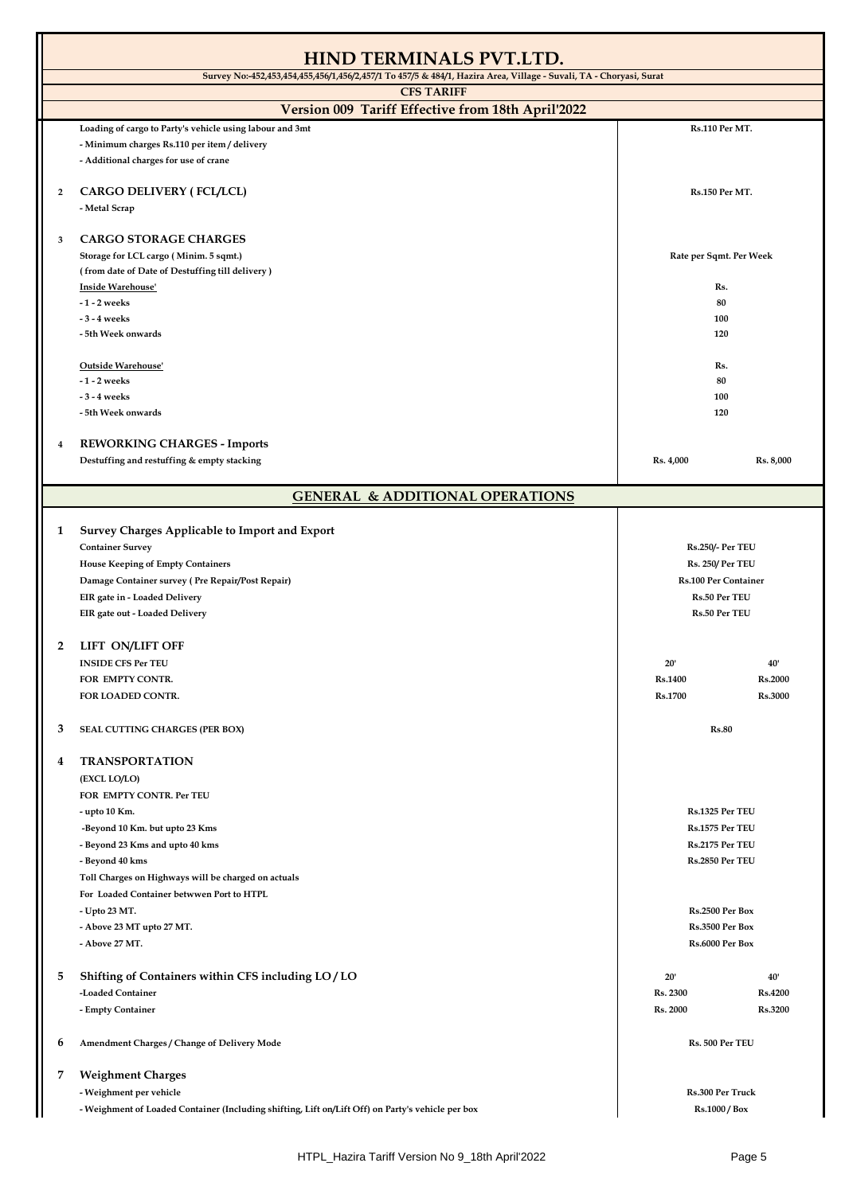|                                                                                                                    | <b>HIND TERMINALS PVT.LTD.</b>                                                                    |                             |                |
|--------------------------------------------------------------------------------------------------------------------|---------------------------------------------------------------------------------------------------|-----------------------------|----------------|
| Survey No:-452,453,454,455,456/1,456/2,457/1 To 457/5 & 484/1, Hazira Area, Village - Suvali, TA - Choryasi, Surat |                                                                                                   |                             |                |
|                                                                                                                    | <b>CFS TARIFF</b>                                                                                 |                             |                |
|                                                                                                                    | Version 009 Tariff Effective from 18th April'2022                                                 |                             |                |
|                                                                                                                    | Loading of cargo to Party's vehicle using labour and 3mt                                          | Rs.110 Per MT.              |                |
|                                                                                                                    | - Minimum charges Rs.110 per item / delivery                                                      |                             |                |
|                                                                                                                    | - Additional charges for use of crane                                                             |                             |                |
| 2                                                                                                                  | CARGO DELIVERY (FCL/LCL)                                                                          | Rs.150 Per MT.              |                |
|                                                                                                                    | - Metal Scrap                                                                                     |                             |                |
|                                                                                                                    |                                                                                                   |                             |                |
| 3                                                                                                                  | <b>CARGO STORAGE CHARGES</b>                                                                      |                             |                |
|                                                                                                                    | Storage for LCL cargo (Minim. 5 sqmt.)                                                            | Rate per Sqmt. Per Week     |                |
|                                                                                                                    | (from date of Date of Destuffing till delivery)                                                   |                             |                |
|                                                                                                                    | Inside Warehouse'                                                                                 | Rs.                         |                |
|                                                                                                                    | -1 - 2 weeks                                                                                      | 80                          |                |
|                                                                                                                    | - 3 - 4 weeks                                                                                     | 100                         |                |
|                                                                                                                    | - 5th Week onwards                                                                                | 120                         |                |
|                                                                                                                    |                                                                                                   |                             |                |
|                                                                                                                    | Outside Warehouse'                                                                                | Rs.                         |                |
|                                                                                                                    | -1 - 2 weeks                                                                                      | 80                          |                |
|                                                                                                                    | - 3 - 4 weeks                                                                                     | 100                         |                |
|                                                                                                                    | - 5th Week onwards                                                                                | 120                         |                |
|                                                                                                                    |                                                                                                   |                             |                |
| 4                                                                                                                  | <b>REWORKING CHARGES - Imports</b>                                                                |                             |                |
|                                                                                                                    | Destuffing and restuffing & empty stacking                                                        | Rs. 4,000                   | Rs. 8,000      |
|                                                                                                                    |                                                                                                   |                             |                |
|                                                                                                                    | <b>GENERAL &amp; ADDITIONAL OPERATIONS</b>                                                        |                             |                |
|                                                                                                                    |                                                                                                   |                             |                |
| 1                                                                                                                  | Survey Charges Applicable to Import and Export                                                    |                             |                |
|                                                                                                                    | <b>Container Survey</b>                                                                           | <b>Rs.250/- Per TEU</b>     |                |
|                                                                                                                    | <b>House Keeping of Empty Containers</b>                                                          | Rs. 250/ Per TEU            |                |
|                                                                                                                    | Damage Container survey (Pre Repair/Post Repair)                                                  | <b>Rs.100 Per Container</b> |                |
|                                                                                                                    | EIR gate in - Loaded Delivery                                                                     | <b>Rs.50 Per TEU</b>        |                |
|                                                                                                                    | EIR gate out - Loaded Delivery                                                                    | <b>Rs.50 Per TEU</b>        |                |
| 2                                                                                                                  | LIFT ON/LIFT OFF                                                                                  |                             |                |
|                                                                                                                    | <b>INSIDE CFS Per TEU</b>                                                                         | 20'                         | 40'            |
|                                                                                                                    | FOR EMPTY CONTR.                                                                                  | <b>Rs.1400</b>              | <b>Rs.2000</b> |
|                                                                                                                    | FOR LOADED CONTR.                                                                                 | <b>Rs.1700</b>              | Rs.3000        |
|                                                                                                                    |                                                                                                   |                             |                |
| 3                                                                                                                  | SEAL CUTTING CHARGES (PER BOX)                                                                    | <b>Rs.80</b>                |                |
|                                                                                                                    |                                                                                                   |                             |                |
| 4                                                                                                                  | <b>TRANSPORTATION</b>                                                                             |                             |                |
|                                                                                                                    | (EXCL LO/LO)                                                                                      |                             |                |
|                                                                                                                    | FOR EMPTY CONTR. Per TEU                                                                          |                             |                |
|                                                                                                                    | - upto 10 Km.                                                                                     | Rs.1325 Per TEU             |                |
|                                                                                                                    | -Beyond 10 Km. but upto 23 Kms                                                                    | Rs.1575 Per TEU             |                |
|                                                                                                                    | - Beyond 23 Kms and upto 40 kms                                                                   | Rs.2175 Per TEU             |                |
|                                                                                                                    | - Beyond 40 kms                                                                                   | Rs.2850 Per TEU             |                |
|                                                                                                                    | Toll Charges on Highways will be charged on actuals                                               |                             |                |
|                                                                                                                    | For Loaded Container betwwen Port to HTPL                                                         |                             |                |
|                                                                                                                    | - Upto 23 MT.                                                                                     | Rs.2500 Per Box             |                |
|                                                                                                                    | - Above 23 MT upto 27 MT.                                                                         | Rs.3500 Per Box             |                |
|                                                                                                                    | - Above 27 MT.                                                                                    | Rs.6000 Per Box             |                |
|                                                                                                                    |                                                                                                   |                             |                |
| 5                                                                                                                  | Shifting of Containers within CFS including LO/LO                                                 | 20'                         | 40'            |
|                                                                                                                    | -Loaded Container                                                                                 | Rs. 2300                    | <b>Rs.4200</b> |
|                                                                                                                    | - Empty Container                                                                                 | Rs. 2000                    | Rs.3200        |
|                                                                                                                    |                                                                                                   |                             |                |
| 6                                                                                                                  | Amendment Charges / Change of Delivery Mode                                                       | Rs. 500 Per TEU             |                |
|                                                                                                                    |                                                                                                   |                             |                |
| 7                                                                                                                  | <b>Weighment Charges</b>                                                                          |                             |                |
|                                                                                                                    | - Weighment per vehicle                                                                           | Rs.300 Per Truck            |                |
|                                                                                                                    | - Weighment of Loaded Container (Including shifting, Lift on/Lift Off) on Party's vehicle per box | Rs.1000 / Box               |                |